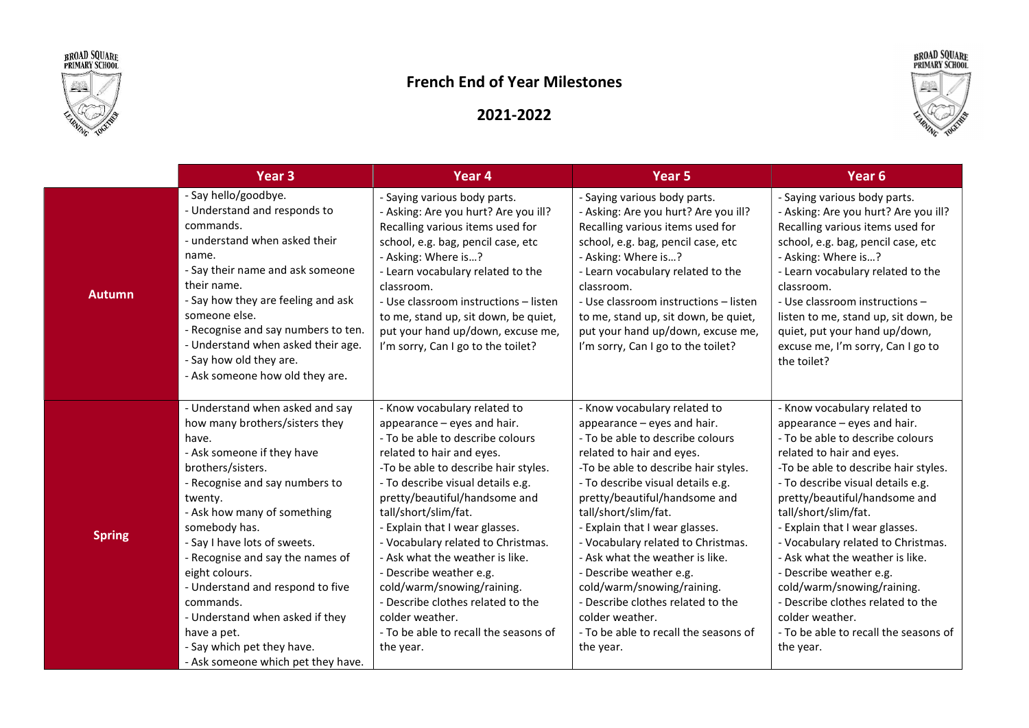



## French End of Year Milestones



## 2021-2022

|               | Year 3                                                                                                                                                                                                                                                                                                                                                                                                                                                                                  | Year 4                                                                                                                                                                                                                                                                                                                                                                                                                                                                                                                                               | Year 5                                                                                                                                                                                                                                                                                                                                                                                                                                                                                                                                               | Year 6                                                                                                                                                                                                                                                                                                                                                                                                                                                                                                                                               |
|---------------|-----------------------------------------------------------------------------------------------------------------------------------------------------------------------------------------------------------------------------------------------------------------------------------------------------------------------------------------------------------------------------------------------------------------------------------------------------------------------------------------|------------------------------------------------------------------------------------------------------------------------------------------------------------------------------------------------------------------------------------------------------------------------------------------------------------------------------------------------------------------------------------------------------------------------------------------------------------------------------------------------------------------------------------------------------|------------------------------------------------------------------------------------------------------------------------------------------------------------------------------------------------------------------------------------------------------------------------------------------------------------------------------------------------------------------------------------------------------------------------------------------------------------------------------------------------------------------------------------------------------|------------------------------------------------------------------------------------------------------------------------------------------------------------------------------------------------------------------------------------------------------------------------------------------------------------------------------------------------------------------------------------------------------------------------------------------------------------------------------------------------------------------------------------------------------|
| <b>Autumn</b> | - Say hello/goodbye.<br>- Understand and responds to<br>commands.<br>- understand when asked their<br>name.<br>- Say their name and ask someone<br>their name.<br>- Say how they are feeling and ask<br>someone else.<br>- Recognise and say numbers to ten.<br>- Understand when asked their age.<br>- Say how old they are.<br>- Ask someone how old they are.                                                                                                                        | - Saying various body parts.<br>- Asking: Are you hurt? Are you ill?<br>Recalling various items used for<br>school, e.g. bag, pencil case, etc<br>- Asking: Where is?<br>- Learn vocabulary related to the<br>classroom.<br>- Use classroom instructions - listen<br>to me, stand up, sit down, be quiet,<br>put your hand up/down, excuse me,<br>I'm sorry, Can I go to the toilet?                                                                                                                                                                 | - Saying various body parts.<br>- Asking: Are you hurt? Are you ill?<br>Recalling various items used for<br>school, e.g. bag, pencil case, etc<br>- Asking: Where is?<br>- Learn vocabulary related to the<br>classroom.<br>- Use classroom instructions - listen<br>to me, stand up, sit down, be quiet,<br>put your hand up/down, excuse me,<br>I'm sorry, Can I go to the toilet?                                                                                                                                                                 | - Saying various body parts.<br>- Asking: Are you hurt? Are you ill?<br>Recalling various items used for<br>school, e.g. bag, pencil case, etc<br>- Asking: Where is?<br>- Learn vocabulary related to the<br>classroom.<br>- Use classroom instructions -<br>listen to me, stand up, sit down, be<br>quiet, put your hand up/down,<br>excuse me, I'm sorry, Can I go to<br>the toilet?                                                                                                                                                              |
| <b>Spring</b> | - Understand when asked and say<br>how many brothers/sisters they<br>have.<br>- Ask someone if they have<br>brothers/sisters.<br>- Recognise and say numbers to<br>twenty.<br>- Ask how many of something<br>somebody has.<br>- Say I have lots of sweets.<br>- Recognise and say the names of<br>eight colours.<br>- Understand and respond to five<br>commands.<br>- Understand when asked if they<br>have a pet.<br>- Say which pet they have.<br>- Ask someone which pet they have. | - Know vocabulary related to<br>appearance - eyes and hair.<br>- To be able to describe colours<br>related to hair and eyes.<br>-To be able to describe hair styles.<br>- To describe visual details e.g.<br>pretty/beautiful/handsome and<br>tall/short/slim/fat.<br>- Explain that I wear glasses.<br>- Vocabulary related to Christmas.<br>- Ask what the weather is like.<br>- Describe weather e.g.<br>cold/warm/snowing/raining.<br>- Describe clothes related to the<br>colder weather.<br>- To be able to recall the seasons of<br>the year. | - Know vocabulary related to<br>appearance – eyes and hair.<br>- To be able to describe colours<br>related to hair and eyes.<br>-To be able to describe hair styles.<br>- To describe visual details e.g.<br>pretty/beautiful/handsome and<br>tall/short/slim/fat.<br>- Explain that I wear glasses.<br>- Vocabulary related to Christmas.<br>- Ask what the weather is like.<br>- Describe weather e.g.<br>cold/warm/snowing/raining.<br>- Describe clothes related to the<br>colder weather.<br>- To be able to recall the seasons of<br>the year. | - Know vocabulary related to<br>appearance - eyes and hair.<br>- To be able to describe colours<br>related to hair and eyes.<br>-To be able to describe hair styles.<br>- To describe visual details e.g.<br>pretty/beautiful/handsome and<br>tall/short/slim/fat.<br>- Explain that I wear glasses.<br>- Vocabulary related to Christmas.<br>- Ask what the weather is like.<br>- Describe weather e.g.<br>cold/warm/snowing/raining.<br>- Describe clothes related to the<br>colder weather.<br>- To be able to recall the seasons of<br>the year. |